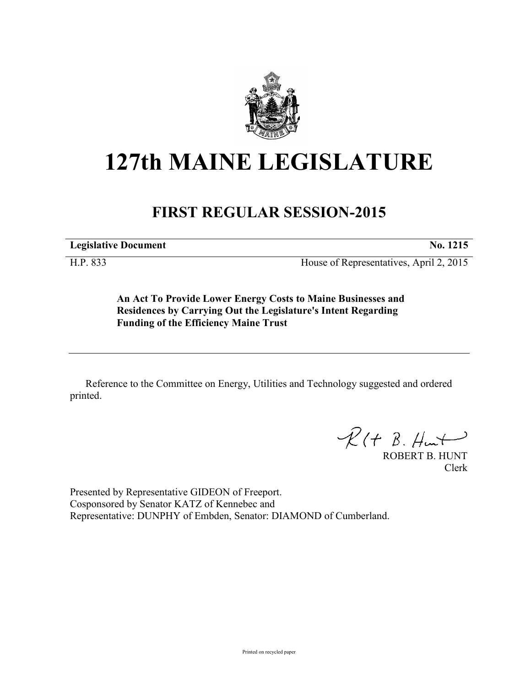

## **127th MAINE LEGISLATURE**

## **FIRST REGULAR SESSION-2015**

**Legislative Document No. 1215**

H.P. 833 House of Representatives, April 2, 2015

**An Act To Provide Lower Energy Costs to Maine Businesses and Residences by Carrying Out the Legislature's Intent Regarding Funding of the Efficiency Maine Trust**

Reference to the Committee on Energy, Utilities and Technology suggested and ordered printed.

 $R(H B. H<sub>un</sub>+)$ 

ROBERT B. HUNT Clerk

Presented by Representative GIDEON of Freeport. Cosponsored by Senator KATZ of Kennebec and Representative: DUNPHY of Embden, Senator: DIAMOND of Cumberland.